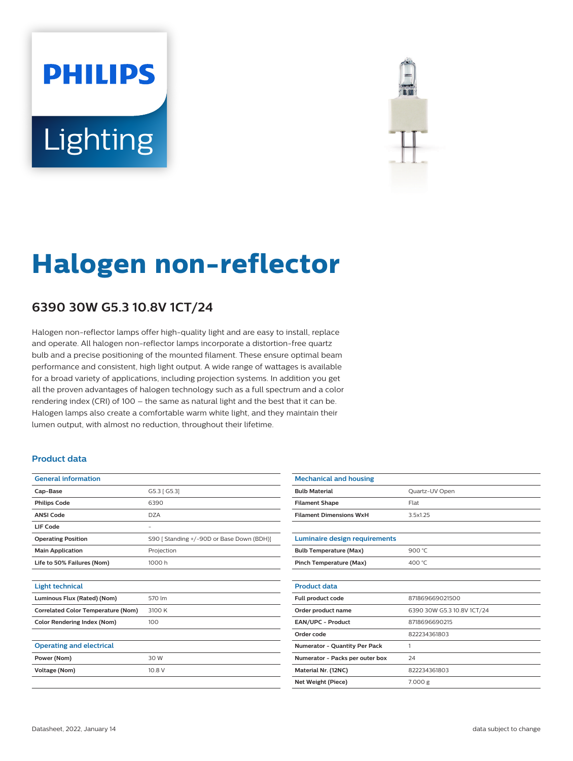# **PHILIPS Lighting**



# **Halogen non-reflector**

## **6390 30W G5.3 10.8V 1CT/24**

Halogen non-reflector lamps offer high-quality light and are easy to install, replace and operate. All halogen non-reflector lamps incorporate a distortion-free quartz bulb and a precise positioning of the mounted filament. These ensure optimal beam performance and consistent, high light output. A wide range of wattages is available for a broad variety of applications, including projection systems. In addition you get all the proven advantages of halogen technology such as a full spectrum and a color rendering index (CRI) of 100 – the same as natural light and the best that it can be. Halogen lamps also create a comfortable warm white light, and they maintain their lumen output, with almost no reduction, throughout their lifetime.

### **Product data**

| <b>General information</b>                |                                           |
|-------------------------------------------|-------------------------------------------|
| Cap-Base                                  | G5.3 [ G5.3]                              |
| <b>Philips Code</b>                       | 6390                                      |
| <b>ANSI Code</b>                          | DZA                                       |
| LIF Code                                  |                                           |
| <b>Operating Position</b>                 | S90 [ Standing +/-90D or Base Down (BDH)] |
| <b>Main Application</b>                   | Projection                                |
| Life to 50% Failures (Nom)                | 1000 h                                    |
|                                           |                                           |
| <b>Light technical</b>                    |                                           |
| Luminous Flux (Rated) (Nom)               | 570 lm                                    |
| <b>Correlated Color Temperature (Nom)</b> | 3100 K                                    |
| <b>Color Rendering Index (Nom)</b>        | 100                                       |
|                                           |                                           |
| <b>Operating and electrical</b>           |                                           |
| Power (Nom)                               | 30 W                                      |
| Voltage (Nom)                             | 10.8 V                                    |
|                                           |                                           |

| <b>Mechanical and housing</b>        |                            |  |  |  |  |  |
|--------------------------------------|----------------------------|--|--|--|--|--|
| <b>Bulb Material</b>                 | Quartz-UV Open             |  |  |  |  |  |
| <b>Filament Shape</b>                | Flat                       |  |  |  |  |  |
| <b>Filament Dimensions WxH</b>       | 3.5x1.25                   |  |  |  |  |  |
|                                      |                            |  |  |  |  |  |
| <b>Luminaire design requirements</b> |                            |  |  |  |  |  |
| <b>Bulb Temperature (Max)</b>        | 900 $°C$                   |  |  |  |  |  |
| <b>Pinch Temperature (Max)</b>       | 400 °C                     |  |  |  |  |  |
|                                      |                            |  |  |  |  |  |
| <b>Product data</b>                  |                            |  |  |  |  |  |
| Full product code                    | 871869669021500            |  |  |  |  |  |
| Order product name                   | 6390 30W G5.3 10.8V 1CT/24 |  |  |  |  |  |
| <b>EAN/UPC - Product</b>             | 8718696690215              |  |  |  |  |  |
| Order code                           | 822234361803               |  |  |  |  |  |
| <b>Numerator - Quantity Per Pack</b> | 1                          |  |  |  |  |  |
| Numerator - Packs per outer box      | 24                         |  |  |  |  |  |
| Material Nr. (12NC)                  | 822234361803               |  |  |  |  |  |
| Net Weight (Piece)                   | 7.000 g                    |  |  |  |  |  |
|                                      |                            |  |  |  |  |  |